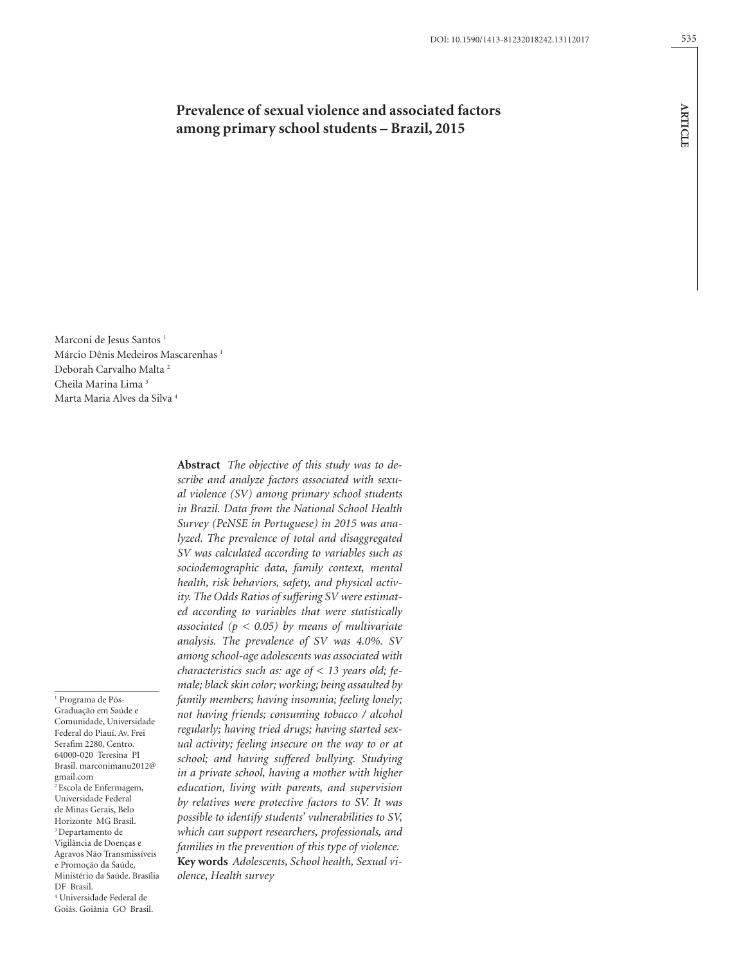# **Prevalence of sexual violence and associated factors among primary school students – Brazil, 2015**

Marconi de Jesus Santos<sup>1</sup> Márcio Dênis Medeiros Mascarenhas 1 Deborah Carvalho Malta 2 Cheila Marina Lima 3 Marta Maria Alves da Silva 4

1 Programa de Pós-Graduação em Saúde e Comunidade, Universidade Federal do Piauí. Av. Frei Serafim 2280, Centro. 64000-020 Teresina PI Brasil. marconimanu2012@ gmail.com  $2$  Escola de Enfermagem, Universidade Federal de Minas Gerais, Belo Horizonte MG Brasil. 3 Departamento de Vigilância de Doenças e Agravos Não Transmissíveis e Promoção da Saúde, Ministério da Saúde. Brasília DF Brasil. 4 Universidade Federal de

Goiás. Goiânia GO Brasil.

**Abstract** *The objective of this study was to describe and analyze factors associated with sexual violence (SV) among primary school students in Brazil. Data from the National School Health Survey (PeNSE in Portuguese) in 2015 was analyzed. The prevalence of total and disaggregated SV was calculated according to variables such as sociodemographic data, family context, mental health, risk behaviors, safety, and physical activity. The Odds Ratios of suffering SV were estimated according to variables that were statistically associated (p < 0.05) by means of multivariate analysis. The prevalence of SV was 4.0%. SV among school-age adolescents was associated with characteristics such as: age of < 13 years old; female; black skin color; working; being assaulted by family members; having insomnia; feeling lonely; not having friends; consuming tobacco / alcohol regularly; having tried drugs; having started sexual activity; feeling insecure on the way to or at school; and having suffered bullying. Studying in a private school, having a mother with higher education, living with parents, and supervision by relatives were protective factors to SV. It was possible to identify students' vulnerabilities to SV, which can support researchers, professionals, and families in the prevention of this type of violence.* **Key words** *Adolescents, School health, Sexual violence, Health survey*

**ARTICLE**

**ARTICLE**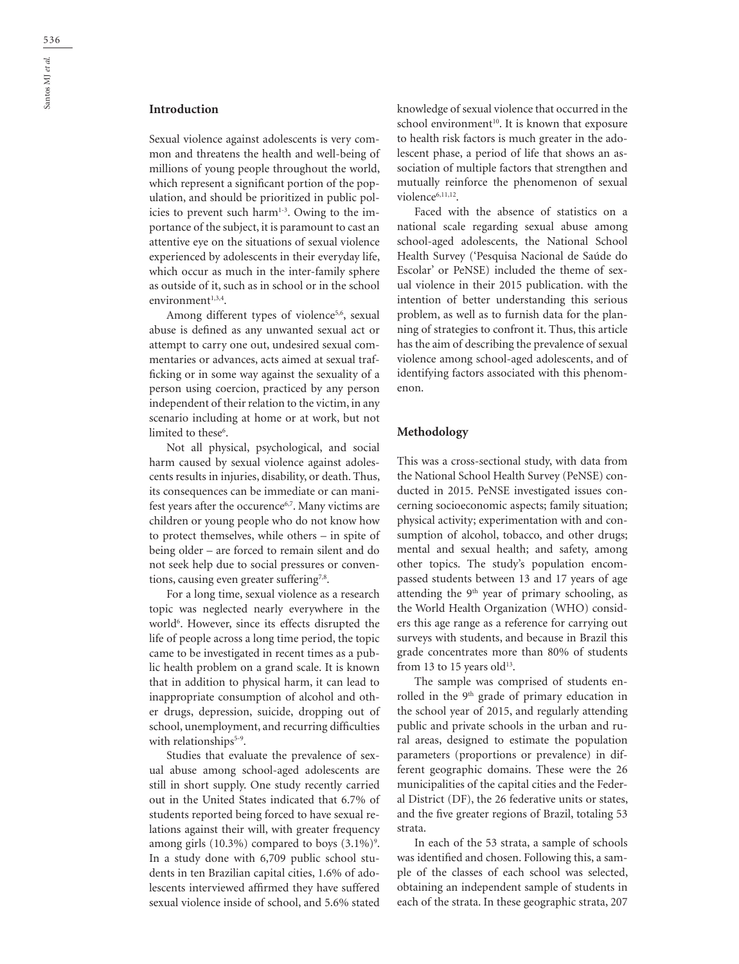# **Introduction**

Sexual violence against adolescents is very common and threatens the health and well-being of millions of young people throughout the world, which represent a significant portion of the population, and should be prioritized in public policies to prevent such harm<sup>1-3</sup>. Owing to the importance of the subject, it is paramount to cast an attentive eye on the situations of sexual violence experienced by adolescents in their everyday life, which occur as much in the inter-family sphere as outside of it, such as in school or in the school environment $1,3,4$ .

Among different types of violence<sup>5,6</sup>, sexual abuse is defined as any unwanted sexual act or attempt to carry one out, undesired sexual commentaries or advances, acts aimed at sexual trafficking or in some way against the sexuality of a person using coercion, practiced by any person independent of their relation to the victim, in any scenario including at home or at work, but not limited to these<sup>6</sup>.

Not all physical, psychological, and social harm caused by sexual violence against adolescents results in injuries, disability, or death. Thus, its consequences can be immediate or can manifest years after the occurence<sup>6,7</sup>. Many victims are children or young people who do not know how to protect themselves, while others – in spite of being older – are forced to remain silent and do not seek help due to social pressures or conventions, causing even greater suffering<sup>7,8</sup>.

For a long time, sexual violence as a research topic was neglected nearly everywhere in the world<sup>6</sup>. However, since its effects disrupted the life of people across a long time period, the topic came to be investigated in recent times as a public health problem on a grand scale. It is known that in addition to physical harm, it can lead to inappropriate consumption of alcohol and other drugs, depression, suicide, dropping out of school, unemployment, and recurring difficulties with relationships<sup>5-9</sup>.

Studies that evaluate the prevalence of sexual abuse among school-aged adolescents are still in short supply. One study recently carried out in the United States indicated that 6.7% of students reported being forced to have sexual relations against their will, with greater frequency among girls  $(10.3\%)$  compared to boys  $(3.1\%)$ <sup>9</sup>. In a study done with 6,709 public school students in ten Brazilian capital cities, 1.6% of adolescents interviewed affirmed they have suffered sexual violence inside of school, and 5.6% stated

knowledge of sexual violence that occurred in the school environment<sup>10</sup>. It is known that exposure to health risk factors is much greater in the adolescent phase, a period of life that shows an association of multiple factors that strengthen and mutually reinforce the phenomenon of sexual violence<sup>6,11,12</sup>.

Faced with the absence of statistics on a national scale regarding sexual abuse among school-aged adolescents, the National School Health Survey ('Pesquisa Nacional de Saúde do Escolar' or PeNSE) included the theme of sexual violence in their 2015 publication. with the intention of better understanding this serious problem, as well as to furnish data for the planning of strategies to confront it. Thus, this article has the aim of describing the prevalence of sexual violence among school-aged adolescents, and of identifying factors associated with this phenomenon.

### **Methodology**

This was a cross-sectional study, with data from the National School Health Survey (PeNSE) conducted in 2015. PeNSE investigated issues concerning socioeconomic aspects; family situation; physical activity; experimentation with and consumption of alcohol, tobacco, and other drugs; mental and sexual health; and safety, among other topics. The study's population encompassed students between 13 and 17 years of age attending the  $9<sup>th</sup>$  year of primary schooling, as the World Health Organization (WHO) considers this age range as a reference for carrying out surveys with students, and because in Brazil this grade concentrates more than 80% of students from 13 to 15 years old<sup>13</sup>.

The sample was comprised of students enrolled in the 9<sup>th</sup> grade of primary education in the school year of 2015, and regularly attending public and private schools in the urban and rural areas, designed to estimate the population parameters (proportions or prevalence) in different geographic domains. These were the 26 municipalities of the capital cities and the Federal District (DF), the 26 federative units or states, and the five greater regions of Brazil, totaling 53 strata.

In each of the 53 strata, a sample of schools was identified and chosen. Following this, a sample of the classes of each school was selected, obtaining an independent sample of students in each of the strata. In these geographic strata, 207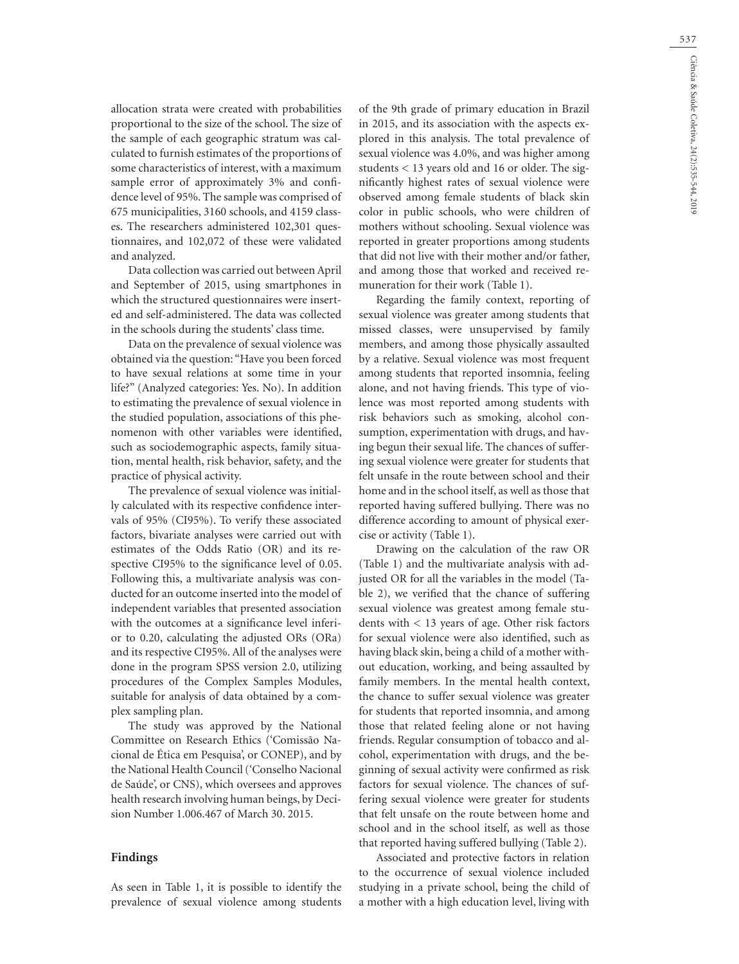allocation strata were created with probabilities proportional to the size of the school. The size of the sample of each geographic stratum was calculated to furnish estimates of the proportions of some characteristics of interest, with a maximum sample error of approximately 3% and confidence level of 95%. The sample was comprised of 675 municipalities, 3160 schools, and 4159 classes. The researchers administered 102,301 questionnaires, and 102,072 of these were validated and analyzed.

Data collection was carried out between April and September of 2015, using smartphones in which the structured questionnaires were inserted and self-administered. The data was collected in the schools during the students' class time.

Data on the prevalence of sexual violence was obtained via the question: "Have you been forced to have sexual relations at some time in your life?" (Analyzed categories: Yes. No). In addition to estimating the prevalence of sexual violence in the studied population, associations of this phenomenon with other variables were identified, such as sociodemographic aspects, family situation, mental health, risk behavior, safety, and the practice of physical activity.

The prevalence of sexual violence was initially calculated with its respective confidence intervals of 95% (CI95%). To verify these associated factors, bivariate analyses were carried out with estimates of the Odds Ratio (OR) and its respective CI95% to the significance level of 0.05. Following this, a multivariate analysis was conducted for an outcome inserted into the model of independent variables that presented association with the outcomes at a significance level inferior to 0.20, calculating the adjusted ORs (ORa) and its respective CI95%. All of the analyses were done in the program SPSS version 2.0, utilizing procedures of the Complex Samples Modules, suitable for analysis of data obtained by a complex sampling plan.

The study was approved by the National Committee on Research Ethics ('Comissão Nacional de Ética em Pesquisa', or CONEP), and by the National Health Council ('Conselho Nacional de Saúde', or CNS), which oversees and approves health research involving human beings, by Decision Number 1.006.467 of March 30. 2015.

#### **Findings**

As seen in Table 1, it is possible to identify the prevalence of sexual violence among students

of the 9th grade of primary education in Brazil in 2015, and its association with the aspects explored in this analysis. The total prevalence of sexual violence was 4.0%, and was higher among students < 13 years old and 16 or older. The significantly highest rates of sexual violence were observed among female students of black skin color in public schools, who were children of mothers without schooling. Sexual violence was reported in greater proportions among students that did not live with their mother and/or father, and among those that worked and received remuneration for their work (Table 1).

Regarding the family context, reporting of sexual violence was greater among students that missed classes, were unsupervised by family members, and among those physically assaulted by a relative. Sexual violence was most frequent among students that reported insomnia, feeling alone, and not having friends. This type of violence was most reported among students with risk behaviors such as smoking, alcohol consumption, experimentation with drugs, and having begun their sexual life. The chances of suffering sexual violence were greater for students that felt unsafe in the route between school and their home and in the school itself, as well as those that reported having suffered bullying. There was no difference according to amount of physical exercise or activity (Table 1).

Drawing on the calculation of the raw OR (Table 1) and the multivariate analysis with adjusted OR for all the variables in the model (Table 2), we verified that the chance of suffering sexual violence was greatest among female students with < 13 years of age. Other risk factors for sexual violence were also identified, such as having black skin, being a child of a mother without education, working, and being assaulted by family members. In the mental health context, the chance to suffer sexual violence was greater for students that reported insomnia, and among those that related feeling alone or not having friends. Regular consumption of tobacco and alcohol, experimentation with drugs, and the beginning of sexual activity were confirmed as risk factors for sexual violence. The chances of suffering sexual violence were greater for students that felt unsafe on the route between home and school and in the school itself, as well as those that reported having suffered bullying (Table 2).

Associated and protective factors in relation to the occurrence of sexual violence included studying in a private school, being the child of a mother with a high education level, living with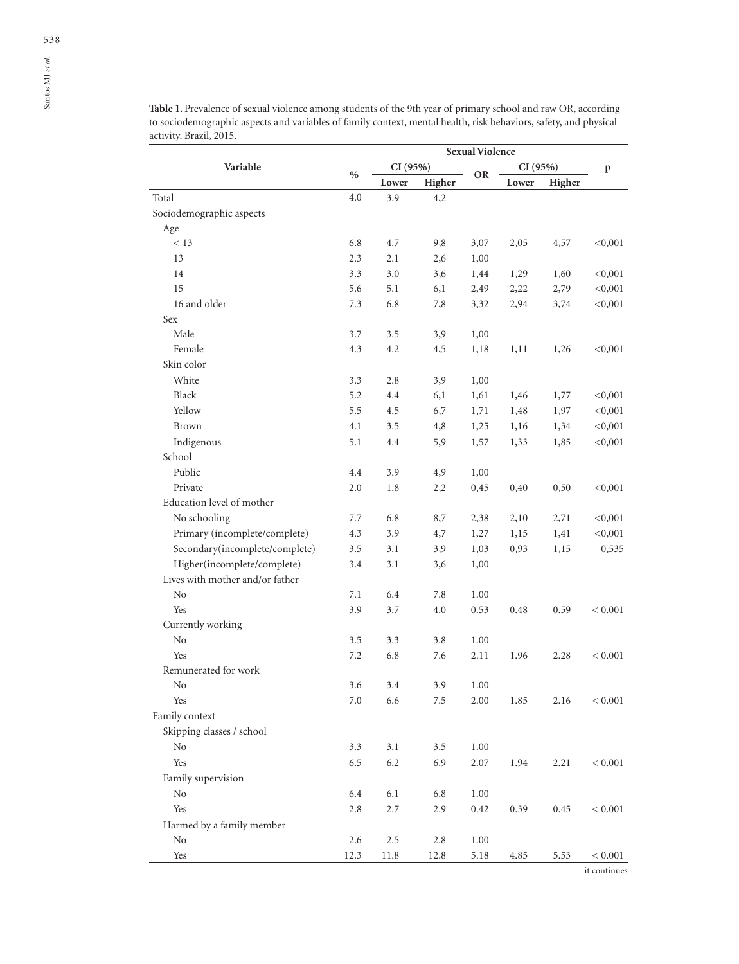|                                 | <b>Sexual Violence</b> |         |         |           |          |        |              |
|---------------------------------|------------------------|---------|---------|-----------|----------|--------|--------------|
| Variable                        |                        | CI(95%) |         |           | CI (95%) |        | $\, {\bf p}$ |
|                                 | $\%$                   | Lower   | Higher  | <b>OR</b> | Lower    | Higher |              |
| Total                           | 4.0                    | 3.9     | 4,2     |           |          |        |              |
| Sociodemographic aspects        |                        |         |         |           |          |        |              |
| Age                             |                        |         |         |           |          |        |              |
| < 13                            | 6.8                    | 4.7     | 9,8     | 3,07      | 2,05     | 4,57   | < 0,001      |
| 13                              | 2.3                    | 2.1     | 2,6     | 1,00      |          |        |              |
| 14                              | 3.3                    | 3.0     | 3,6     | 1,44      | 1,29     | 1,60   | < 0,001      |
| 15                              | 5.6                    | 5.1     | 6,1     | 2,49      | 2,22     | 2,79   | < 0,001      |
| 16 and older                    | 7.3                    | 6.8     | 7,8     | 3,32      | 2,94     | 3,74   | < 0,001      |
| Sex                             |                        |         |         |           |          |        |              |
| Male                            | 3.7                    | 3.5     | 3,9     | 1,00      |          |        |              |
| Female                          | 4.3                    | 4.2     | 4,5     | 1,18      | 1,11     | 1,26   | < 0,001      |
| Skin color                      |                        |         |         |           |          |        |              |
| White                           | 3.3                    | 2.8     | 3,9     | 1,00      |          |        |              |
| Black                           | 5.2                    | 4.4     | 6,1     | 1,61      | 1,46     | 1,77   | < 0,001      |
| Yellow                          | 5.5                    | 4.5     | 6,7     | 1,71      | 1,48     | 1,97   | < 0,001      |
| <b>Brown</b>                    | 4.1                    | 3.5     | 4,8     | 1,25      | 1,16     | 1,34   | < 0,001      |
| Indigenous                      | 5.1                    | 4.4     | 5,9     | 1,57      | 1,33     | 1,85   | < 0,001      |
| School                          |                        |         |         |           |          |        |              |
| Public                          | 4.4                    | 3.9     | 4,9     | 1,00      |          |        |              |
| Private                         | 2.0                    | 1.8     | 2,2     | 0,45      | 0,40     | 0,50   | < 0,001      |
| Education level of mother       |                        |         |         |           |          |        |              |
| No schooling                    | 7.7                    | 6.8     | 8,7     | 2,38      | 2,10     | 2,71   | < 0,001      |
| Primary (incomplete/complete)   | 4.3                    | 3.9     | 4,7     | 1,27      | 1,15     | 1,41   | < 0,001      |
| Secondary(incomplete/complete)  | 3.5                    | 3.1     | 3,9     | 1,03      | 0,93     | 1,15   | 0,535        |
| Higher(incomplete/complete)     | 3.4                    | 3.1     | 3,6     | 1,00      |          |        |              |
| Lives with mother and/or father |                        |         |         |           |          |        |              |
| No                              | 7.1                    | 6.4     | 7.8     | 1.00      |          |        |              |
| Yes                             | 3.9                    | 3.7     | 4.0     | 0.53      | 0.48     | 0.59   | < 0.001      |
| Currently working               |                        |         |         |           |          |        |              |
| No                              | 3.5                    | 3.3     | 3.8     | 1.00      |          |        |              |
| Yes                             | 7.2                    | 6.8     | 7.6     | 2.11      | 1.96     | 2.28   | < 0.001      |
| Remunerated for work            |                        |         |         |           |          |        |              |
| No                              | 3.6                    | 3.4     | 3.9     | 1.00      |          |        |              |
| Yes                             | 7.0                    | 6.6     | $7.5\,$ | 2.00      | 1.85     | 2.16   | < 0.001      |
| Family context                  |                        |         |         |           |          |        |              |
| Skipping classes / school       |                        |         |         |           |          |        |              |
| N <sub>o</sub>                  | 3.3                    | 3.1     | $3.5\,$ | 1.00      |          |        |              |
| Yes                             | 6.5                    | 6.2     | 6.9     | 2.07      | 1.94     | 2.21   | $< 0.001\,$  |
| Family supervision              |                        |         |         |           |          |        |              |
| $\rm No$                        | 6.4                    | $6.1\,$ | 6.8     | $1.00\,$  |          |        |              |
| Yes                             | 2.8                    | 2.7     | 2.9     | 0.42      | 0.39     | 0.45   | < 0.001      |
| Harmed by a family member       |                        |         |         |           |          |        |              |
| No                              | 2.6                    | $2.5\,$ | $2.8\,$ | $1.00\,$  |          |        |              |
| $\operatorname{Yes}$            | 12.3                   | 11.8    | 12.8    | 5.18      | 4.85     | 5.53   | < 0.001      |

**Table 1.** Prevalence of sexual violence among students of the 9th year of primary school and raw OR, according to sociodemographic aspects and variables of family context, mental health, risk behaviors, safety, and physical activity. Brazil, 2015.

it continues

Santos MJ *et al.*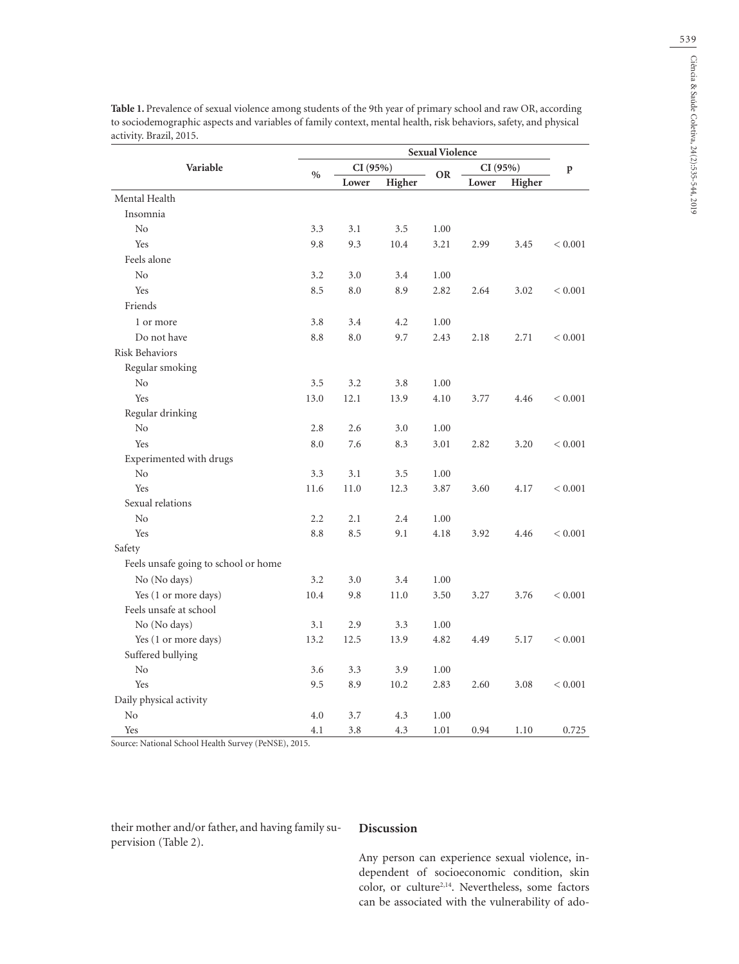|                                      | <b>Sexual Violence</b> |          |        |           |         |        |              |
|--------------------------------------|------------------------|----------|--------|-----------|---------|--------|--------------|
| Variable                             |                        | CI (95%) |        |           | CI(95%) |        | $\, {\bf p}$ |
|                                      | $\%$                   | Lower    | Higher | <b>OR</b> | Lower   | Higher |              |
| Mental Health                        |                        |          |        |           |         |        |              |
| Insomnia                             |                        |          |        |           |         |        |              |
| N <sub>o</sub>                       | 3.3                    | 3.1      | 3.5    | 1.00      |         |        |              |
| Yes                                  | 9.8                    | 9.3      | 10.4   | 3.21      | 2.99    | 3.45   | < 0.001      |
| Feels alone                          |                        |          |        |           |         |        |              |
| N <sub>0</sub>                       | 3.2                    | 3.0      | 3.4    | 1.00      |         |        |              |
| Yes                                  | 8.5                    | 8.0      | 8.9    | 2.82      | 2.64    | 3.02   | < 0.001      |
| Friends                              |                        |          |        |           |         |        |              |
| 1 or more                            | 3.8                    | 3.4      | 4.2    | 1.00      |         |        |              |
| Do not have                          | 8.8                    | 8.0      | 9.7    | 2.43      | 2.18    | 2.71   | < 0.001      |
| <b>Risk Behaviors</b>                |                        |          |        |           |         |        |              |
| Regular smoking                      |                        |          |        |           |         |        |              |
| N <sub>0</sub>                       | 3.5                    | 3.2      | 3.8    | 1.00      |         |        |              |
| Yes                                  | 13.0                   | 12.1     | 13.9   | 4.10      | 3.77    | 4.46   | < 0.001      |
| Regular drinking                     |                        |          |        |           |         |        |              |
| N <sub>o</sub>                       | 2.8                    | 2.6      | 3.0    | 1.00      |         |        |              |
| Yes                                  | 8.0                    | 7.6      | 8.3    | 3.01      | 2.82    | 3.20   | < 0.001      |
| Experimented with drugs              |                        |          |        |           |         |        |              |
| $\rm No$                             | 3.3                    | 3.1      | 3.5    | 1.00      |         |        |              |
| Yes                                  | 11.6                   | 11.0     | 12.3   | 3.87      | 3.60    | 4.17   | < 0.001      |
| Sexual relations                     |                        |          |        |           |         |        |              |
| No                                   | 2.2                    | 2.1      | 2.4    | 1.00      |         |        |              |
| Yes                                  | 8.8                    | 8.5      | 9.1    | 4.18      | 3.92    | 4.46   | < 0.001      |
| Safety                               |                        |          |        |           |         |        |              |
| Feels unsafe going to school or home |                        |          |        |           |         |        |              |
| No (No days)                         | 3.2                    | 3.0      | 3.4    | 1.00      |         |        |              |
| Yes (1 or more days)                 | 10.4                   | 9.8      | 11.0   | 3.50      | 3.27    | 3.76   | < 0.001      |
| Feels unsafe at school               |                        |          |        |           |         |        |              |
| No (No days)                         | 3.1                    | 2.9      | 3.3    | 1.00      |         |        |              |
| Yes (1 or more days)                 | 13.2                   | 12.5     | 13.9   | 4.82      | 4.49    | 5.17   | < 0.001      |
| Suffered bullying                    |                        |          |        |           |         |        |              |
| No                                   | 3.6                    | 3.3      | 3.9    | 1.00      |         |        |              |
| Yes                                  | 9.5                    | 8.9      | 10.2   | 2.83      | 2.60    | 3.08   | < 0.001      |
| Daily physical activity              |                        |          |        |           |         |        |              |
| No                                   | 4.0                    | 3.7      | 4.3    | 1.00      |         |        |              |

**Table 1.** Prevalence of sexual violence among students of the 9th year of primary school and raw OR, according to sociodemographic aspects and variables of family context, mental health, risk behaviors, safety, and physical activity. Brazil, 2015.

Source: National School Health Survey (PeNSE), 2015.

their mother and/or father, and having family supervision (Table 2).

#### **Discussion**

Yes 3.8 4.1 3.8 4.3 1.01 0.94 1.10 0.725

Any person can experience sexual violence, independent of socioeconomic condition, skin color, or culture<sup>2,14</sup>. Nevertheless, some factors can be associated with the vulnerability of ado-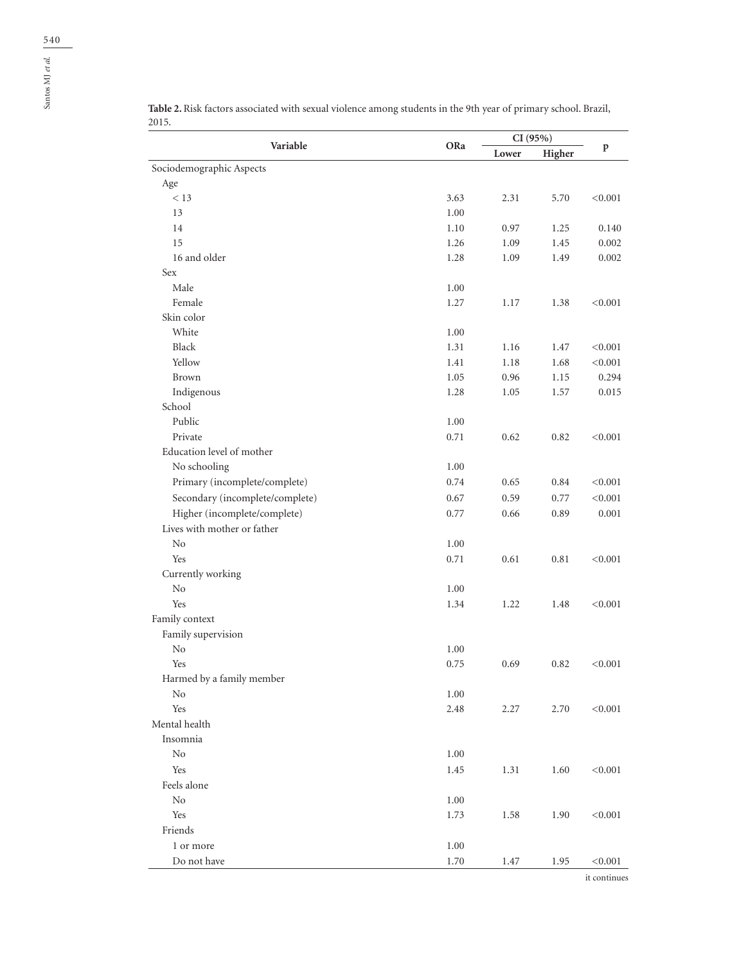| Variable                        | ORa      | CI(95%) |        |              |
|---------------------------------|----------|---------|--------|--------------|
|                                 |          | Lower   | Higher | $\, {\bf p}$ |
| Sociodemographic Aspects        |          |         |        |              |
| Age                             |          |         |        |              |
| < 13                            | 3.63     | 2.31    | 5.70   | < 0.001      |
| 13                              | 1.00     |         |        |              |
| 14                              | 1.10     | 0.97    | 1.25   | 0.140        |
| 15                              | 1.26     | 1.09    | 1.45   | 0.002        |
| 16 and older                    | 1.28     | 1.09    | 1.49   | 0.002        |
| Sex                             |          |         |        |              |
| Male                            | 1.00     |         |        |              |
| Female                          | 1.27     | 1.17    | 1.38   | < 0.001      |
| Skin color                      |          |         |        |              |
| White                           | 1.00     |         |        |              |
| Black                           | 1.31     | 1.16    | 1.47   | < 0.001      |
| Yellow                          | 1.41     | 1.18    | 1.68   | < 0.001      |
| Brown                           | 1.05     | 0.96    | 1.15   | 0.294        |
| Indigenous                      | 1.28     | 1.05    | 1.57   | 0.015        |
| School                          |          |         |        |              |
| Public                          | 1.00     |         |        |              |
| Private                         | 0.71     | 0.62    | 0.82   | < 0.001      |
| Education level of mother       |          |         |        |              |
| No schooling                    | 1.00     |         |        |              |
| Primary (incomplete/complete)   | 0.74     | 0.65    | 0.84   | < 0.001      |
| Secondary (incomplete/complete) | 0.67     | 0.59    | 0.77   | < 0.001      |
| Higher (incomplete/complete)    | 0.77     | 0.66    | 0.89   | 0.001        |
| Lives with mother or father     |          |         |        |              |
| N <sub>o</sub>                  | 1.00     |         |        |              |
| Yes                             | 0.71     | 0.61    | 0.81   | < 0.001      |
| Currently working               |          |         |        |              |
| No                              | 1.00     |         |        |              |
| Yes                             | 1.34     | 1.22    | 1.48   | < 0.001      |
| Family context                  |          |         |        |              |
| Family supervision              |          |         |        |              |
| No                              | 1.00     |         |        |              |
| Yes                             | 0.75     | 0.69    | 0.82   | < 0.001      |
| Harmed by a family member       |          |         |        |              |
| No                              | 1.00     |         |        |              |
| Yes                             | 2.48     | 2.27    | 2.70   | < 0.001      |
| Mental health                   |          |         |        |              |
| Insomnia                        |          |         |        |              |
| No                              | 1.00     |         |        |              |
| Yes                             | $1.45\,$ | 1.31    | 1.60   | < 0.001      |
| Feels alone                     |          |         |        |              |
| No                              | 1.00     |         |        |              |
| Yes                             | 1.73     | 1.58    | 1.90   | < 0.001      |
| Friends                         |          |         |        |              |
| 1 or more                       | 1.00     |         |        |              |
| Do not have                     | 1.70     | 1.47    | 1.95   | < 0.001      |
|                                 |          |         |        |              |

**Table 2.** Risk factors associated with sexual violence among students in the 9th year of primary school. Brazil, 2015.

it continues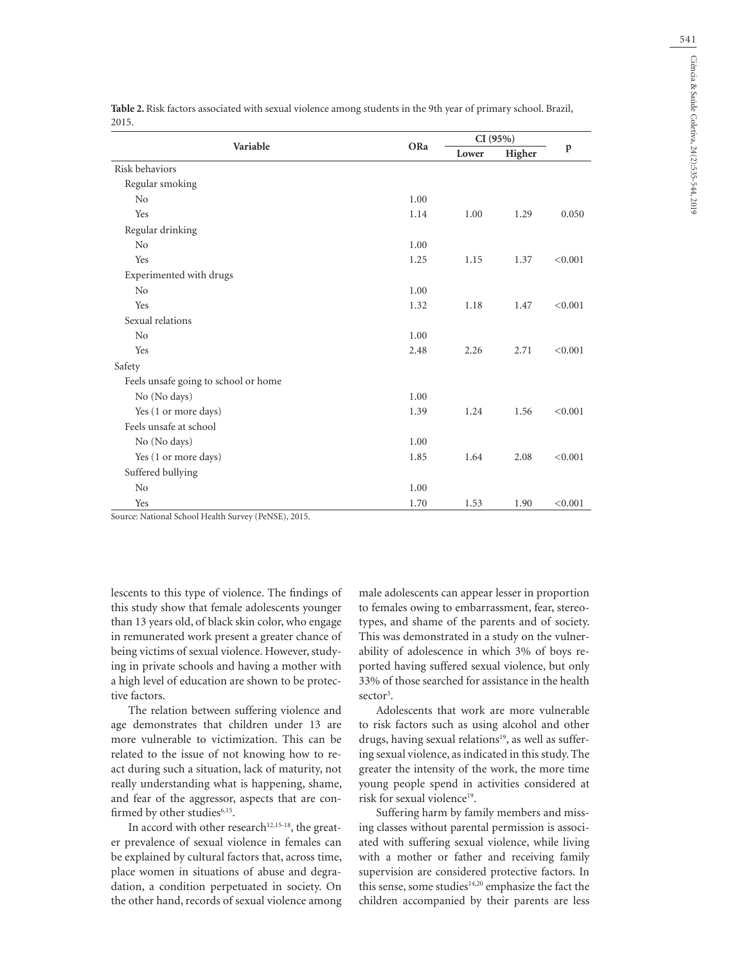|                                      |      | CI(95%) |        |             |  |
|--------------------------------------|------|---------|--------|-------------|--|
| Variable                             | ORa  | Lower   | Higher | $\mathbf p$ |  |
| Risk behaviors                       |      |         |        |             |  |
| Regular smoking                      |      |         |        |             |  |
| N <sub>0</sub>                       | 1.00 |         |        |             |  |
| Yes                                  | 1.14 | 1.00    | 1.29   | 0.050       |  |
| Regular drinking                     |      |         |        |             |  |
| No                                   | 1.00 |         |        |             |  |
| Yes                                  | 1.25 | 1.15    | 1.37   | < 0.001     |  |
| Experimented with drugs              |      |         |        |             |  |
| No                                   | 1.00 |         |        |             |  |
| Yes                                  | 1.32 | 1.18    | 1.47   | < 0.001     |  |
| Sexual relations                     |      |         |        |             |  |
| No                                   | 1.00 |         |        |             |  |
| Yes                                  | 2.48 | 2.26    | 2.71   | < 0.001     |  |
| Safety                               |      |         |        |             |  |
| Feels unsafe going to school or home |      |         |        |             |  |
| No (No days)                         | 1.00 |         |        |             |  |
| Yes (1 or more days)                 | 1.39 | 1.24    | 1.56   | < 0.001     |  |
| Feels unsafe at school               |      |         |        |             |  |
| No (No days)                         | 1.00 |         |        |             |  |
| Yes (1 or more days)                 | 1.85 | 1.64    | 2.08   | < 0.001     |  |
| Suffered bullying                    |      |         |        |             |  |
| No                                   | 1.00 |         |        |             |  |
| Yes                                  | 1.70 | 1.53    | 1.90   | < 0.001     |  |

**Table 2.** Risk factors associated with sexual violence among students in the 9th year of primary school. Brazil, 2015.

Source: National School Health Survey (PeNSE), 2015.

lescents to this type of violence. The findings of this study show that female adolescents younger than 13 years old, of black skin color, who engage in remunerated work present a greater chance of being victims of sexual violence. However, studying in private schools and having a mother with a high level of education are shown to be protective factors.

The relation between suffering violence and age demonstrates that children under 13 are more vulnerable to victimization. This can be related to the issue of not knowing how to react during such a situation, lack of maturity, not really understanding what is happening, shame, and fear of the aggressor, aspects that are confirmed by other studies<sup>6,15</sup>.

In accord with other research $12,15-18$ , the greater prevalence of sexual violence in females can be explained by cultural factors that, across time, place women in situations of abuse and degradation, a condition perpetuated in society. On the other hand, records of sexual violence among male adolescents can appear lesser in proportion to females owing to embarrassment, fear, stereotypes, and shame of the parents and of society. This was demonstrated in a study on the vulnerability of adolescence in which 3% of boys reported having suffered sexual violence, but only 33% of those searched for assistance in the health sector<sup>3</sup>.

Adolescents that work are more vulnerable to risk factors such as using alcohol and other drugs, having sexual relations<sup>19</sup>, as well as suffering sexual violence, as indicated in this study. The greater the intensity of the work, the more time young people spend in activities considered at risk for sexual violence<sup>19</sup>.

Suffering harm by family members and missing classes without parental permission is associated with suffering sexual violence, while living with a mother or father and receiving family supervision are considered protective factors. In this sense, some studies<sup>14,20</sup> emphasize the fact the children accompanied by their parents are less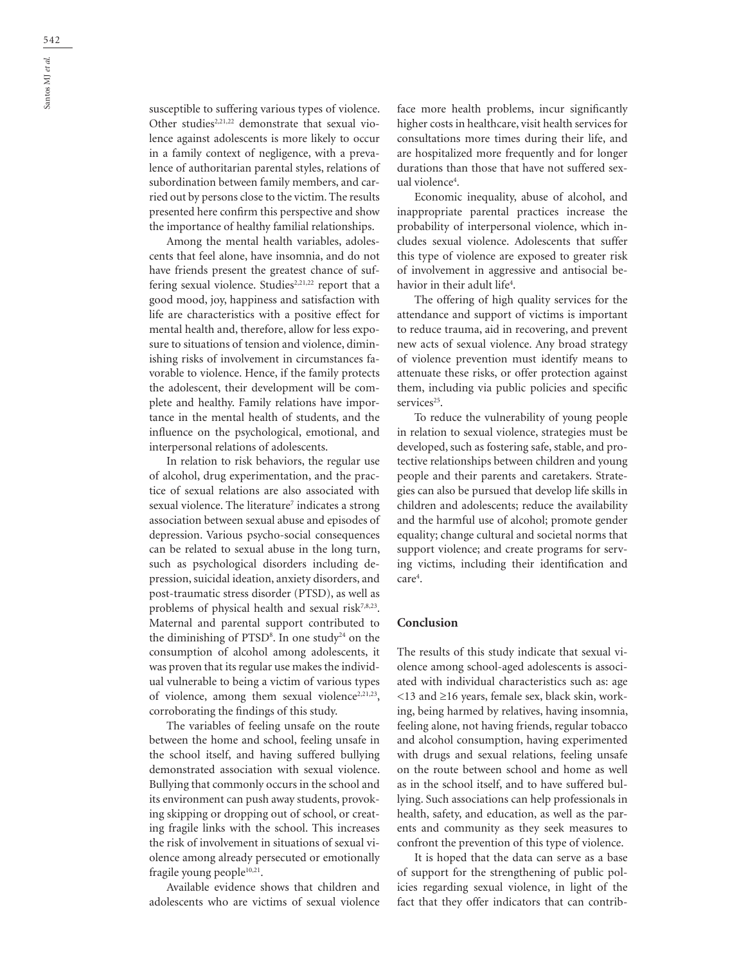susceptible to suffering various types of violence. Other studies<sup>2,21,22</sup> demonstrate that sexual violence against adolescents is more likely to occur in a family context of negligence, with a prevalence of authoritarian parental styles, relations of subordination between family members, and carried out by persons close to the victim. The results presented here confirm this perspective and show the importance of healthy familial relationships.

Among the mental health variables, adolescents that feel alone, have insomnia, and do not have friends present the greatest chance of suffering sexual violence. Studies<sup>2,21,22</sup> report that a good mood, joy, happiness and satisfaction with life are characteristics with a positive effect for mental health and, therefore, allow for less exposure to situations of tension and violence, diminishing risks of involvement in circumstances favorable to violence. Hence, if the family protects the adolescent, their development will be complete and healthy. Family relations have importance in the mental health of students, and the influence on the psychological, emotional, and interpersonal relations of adolescents.

In relation to risk behaviors, the regular use of alcohol, drug experimentation, and the practice of sexual relations are also associated with sexual violence. The literature<sup>7</sup> indicates a strong association between sexual abuse and episodes of depression. Various psycho-social consequences can be related to sexual abuse in the long turn, such as psychological disorders including depression, suicidal ideation, anxiety disorders, and post-traumatic stress disorder (PTSD), as well as problems of physical health and sexual risk7,8,23. Maternal and parental support contributed to the diminishing of  $PTSD<sup>8</sup>$ . In one study<sup>24</sup> on the consumption of alcohol among adolescents, it was proven that its regular use makes the individual vulnerable to being a victim of various types of violence, among them sexual violence<sup>2,21,23</sup>, corroborating the findings of this study.

The variables of feeling unsafe on the route between the home and school, feeling unsafe in the school itself, and having suffered bullying demonstrated association with sexual violence. Bullying that commonly occurs in the school and its environment can push away students, provoking skipping or dropping out of school, or creating fragile links with the school. This increases the risk of involvement in situations of sexual violence among already persecuted or emotionally fragile young people<sup>10,21</sup>.

Available evidence shows that children and adolescents who are victims of sexual violence face more health problems, incur significantly higher costs in healthcare, visit health services for consultations more times during their life, and are hospitalized more frequently and for longer durations than those that have not suffered sexual violence4 .

Economic inequality, abuse of alcohol, and inappropriate parental practices increase the probability of interpersonal violence, which includes sexual violence. Adolescents that suffer this type of violence are exposed to greater risk of involvement in aggressive and antisocial behavior in their adult life<sup>4</sup>.

The offering of high quality services for the attendance and support of victims is important to reduce trauma, aid in recovering, and prevent new acts of sexual violence. Any broad strategy of violence prevention must identify means to attenuate these risks, or offer protection against them, including via public policies and specific services<sup>25</sup>.

To reduce the vulnerability of young people in relation to sexual violence, strategies must be developed, such as fostering safe, stable, and protective relationships between children and young people and their parents and caretakers. Strategies can also be pursued that develop life skills in children and adolescents; reduce the availability and the harmful use of alcohol; promote gender equality; change cultural and societal norms that support violence; and create programs for serving victims, including their identification and care<sup>4</sup>.

#### **Conclusion**

The results of this study indicate that sexual violence among school-aged adolescents is associated with individual characteristics such as: age <13 and ≥16 years, female sex, black skin, working, being harmed by relatives, having insomnia, feeling alone, not having friends, regular tobacco and alcohol consumption, having experimented with drugs and sexual relations, feeling unsafe on the route between school and home as well as in the school itself, and to have suffered bullying. Such associations can help professionals in health, safety, and education, as well as the parents and community as they seek measures to confront the prevention of this type of violence.

It is hoped that the data can serve as a base of support for the strengthening of public policies regarding sexual violence, in light of the fact that they offer indicators that can contrib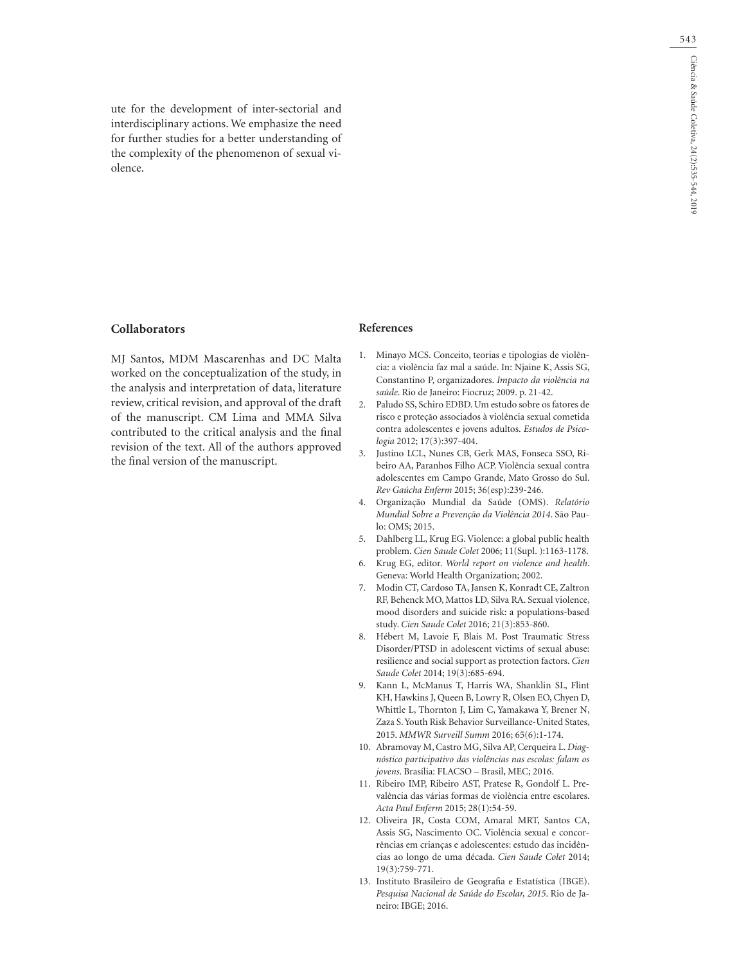ute for the development of inter-sectorial and interdisciplinary actions. We emphasize the need for further studies for a better understanding of the complexity of the phenomenon of sexual violence.

## **Collaborators**

MJ Santos, MDM Mascarenhas and DC Malta worked on the conceptualization of the study, in the analysis and interpretation of data, literature review, critical revision, and approval of the draft of the manuscript. CM Lima and MMA Silva contributed to the critical analysis and the final revision of the text. All of the authors approved the final version of the manuscript.

## **References**

- 1. Minayo MCS. Conceito, teorias e tipologias de violência: a violência faz mal a saúde. In: Njaine K, Assis SG, Constantino P, organizadores. *Impacto da violência na saúde*. Rio de Janeiro: Fiocruz; 2009. p. 21-42.
- 2. Paludo SS, Schiro EDBD. Um estudo sobre os fatores de risco e proteção associados à violência sexual cometida contra adolescentes e jovens adultos. *Estudos de Psicologia* 2012; 17(3):397-404.
- 3. Justino LCL, Nunes CB, Gerk MAS, Fonseca SSO, Ribeiro AA, Paranhos Filho ACP. Violência sexual contra adolescentes em Campo Grande, Mato Grosso do Sul. *Rev Gaúcha Enferm* 2015; 36(esp):239-246.
- 4. Organização Mundial da Saúde (OMS). *Relatório Mundial Sobre a Prevenção da Violência 2014*. São Paulo: OMS; 2015.
- 5. Dahlberg LL, Krug EG. Violence: a global public health problem. *Cien Saude Colet* 2006; 11(Supl. ):1163-1178.
- 6. Krug EG, editor. *World report on violence and health*. Geneva: World Health Organization; 2002.
- 7. Modin CT, Cardoso TA, Jansen K, Konradt CE, Zaltron RF, Behenck MO, Mattos LD, Silva RA. Sexual violence, mood disorders and suicide risk: a populations-based study. *Cien Saude Colet* 2016; 21(3):853-860.
- 8. Hébert M, Lavoie F, Blais M. Post Traumatic Stress Disorder/PTSD in adolescent victims of sexual abuse: resilience and social support as protection factors. *Cien Saude Colet* 2014; 19(3):685-694.
- 9. Kann L, McManus T, Harris WA, Shanklin SL, Flint KH, Hawkins J, Queen B, Lowry R, Olsen EO, Chyen D, Whittle L, Thornton J, Lim C, Yamakawa Y, Brener N, Zaza S. Youth Risk Behavior Surveillance-United States, 2015. *MMWR Surveill Summ* 2016; 65(6):1-174.
- 10. Abramovay M, Castro MG, Silva AP, Cerqueira L. *Diagnóstico participativo das violências nas escolas: falam os jovens*. Brasília: FLACSO – Brasil, MEC; 2016.
- 11. Ribeiro IMP, Ribeiro AST, Pratese R, Gondolf L. Prevalência das várias formas de violência entre escolares. *Acta Paul Enferm* 2015; 28(1):54-59.
- 12. Oliveira JR, Costa COM, Amaral MRT, Santos CA, Assis SG, Nascimento OC. Violência sexual e concorrências em crianças e adolescentes: estudo das incidências ao longo de uma década. *Cien Saude Colet* 2014; 19(3):759-771.
- 13. Instituto Brasileiro de Geografia e Estatística (IBGE). *Pesquisa Nacional de Saúde do Escolar, 2015*. Rio de Janeiro: IBGE; 2016.